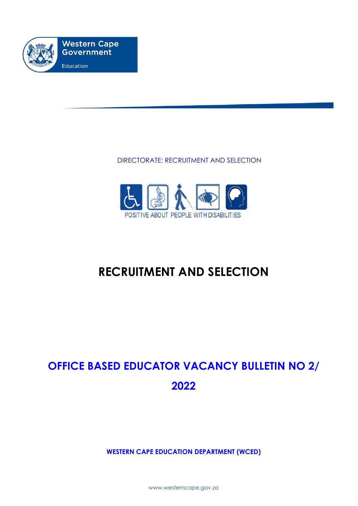

### DIRECTORATE: RECRUITMENT AND SELECTION



## **RECRUITMENT AND SELECTION**

# **OFFICE BASED EDUCATOR VACANCY BULLETIN NO 2/ 2022**

**WESTERN CAPE EDUCATION DEPARTMENT (WCED)**

www.westerncape.gov.za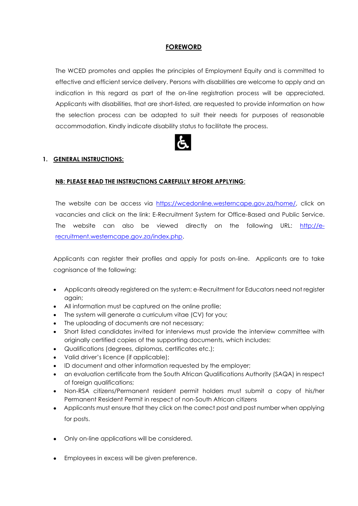#### **FOREWORD**

The WCED promotes and applies the principles of Employment Equity and is committed to effective and efficient service delivery. Persons with disabilities are welcome to apply and an indication in this regard as part of the on-line registration process will be appreciated. Applicants with disabilities, that are short-listed, are requested to provide information on how the selection process can be adapted to suit their needs for purposes of reasonable accommodation. Kindly indicate disability status to facilitate the process.



#### **1. GENERAL INSTRUCTIONS:**

#### **NB: PLEASE READ THE INSTRUCTIONS CAREFULLY BEFORE APPLYING**:

The website can be access via [https://wcedonline.westerncape.gov.za/home/,](https://wcedonline.westerncape.gov.za/home/) click on vacancies and click on the link: E-Recruitment System for Office-Based and Public Service. The website can also be viewed directly on the following URL: [http://e](http://e-recruitment.westerncape.gov.za/index.php)[recruitment.westerncape.gov.za/index.php.](http://e-recruitment.westerncape.gov.za/index.php)

Applicants can register their profiles and apply for posts on-line. Applicants are to take cognisance of the following:

- Applicants already registered on the system: e-Recruitment for Educators need not register again;
- All information must be captured on the online profile;
- The system will generate a curriculum vitae (CV) for you;
- The uploading of documents are not necessary;
- Short listed candidates invited for interviews must provide the interview committee with originally certified copies of the supporting documents, which includes:
- Qualifications (degrees, diplomas, certificates etc.);
- Valid driver's licence (if applicable);
- ID document and other information requested by the employer;
- an evaluation certificate from the South African Qualifications Authority (SAQA) in respect of foreign qualifications;
- Non-RSA citizens/Permanent resident permit holders must submit a copy of his/her Permanent Resident Permit in respect of non-South African citizens
- Applicants must ensure that they click on the correct post and post number when applying for posts.
- Only on-line applications will be considered.
- Employees in excess will be given preference.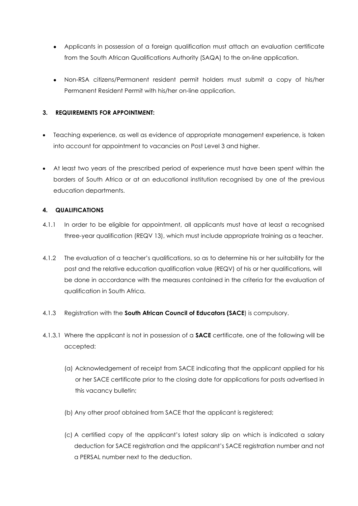- Applicants in possession of a foreign qualification must attach an evaluation certificate from the South African Qualifications Authority (SAQA) to the on-line application.
- Non-RSA citizens/Permanent resident permit holders must submit a copy of his/her Permanent Resident Permit with his/her on-line application.

#### **3. REQUIREMENTS FOR APPOINTMENT:**

- Teaching experience, as well as evidence of appropriate management experience, is taken into account for appointment to vacancies on Post Level 3 and higher.
- At least two years of the prescribed period of experience must have been spent within the borders of South Africa or at an educational institution recognised by one of the previous education departments.

#### **4. QUALIFICATIONS**

- 4.1.1 In order to be eligible for appointment, all applicants must have at least a recognised three-year qualification (REQV 13), which must include appropriate training as a teacher.
- 4.1.2 The evaluation of a teacher's qualifications, so as to determine his or her suitability for the post and the relative education qualification value (REQV) of his or her qualifications, will be done in accordance with the measures contained in the criteria for the evaluation of qualification in South Africa.
- 4.1.3 Registration with the **South African Council of Educators (SACE**) is compulsory.
- 4.1.3.1 Where the applicant is not in possession of a **SACE** certificate, one of the following will be accepted:
	- (a) Acknowledgement of receipt from SACE indicating that the applicant applied for his or her SACE certificate prior to the closing date for applications for posts advertised in this vacancy bulletin;
	- (b) Any other proof obtained from SACE that the applicant is registered;
	- (c) A certified copy of the applicant's latest salary slip on which is indicated a salary deduction for SACE registration and the applicant's SACE registration number and not a PERSAL number next to the deduction.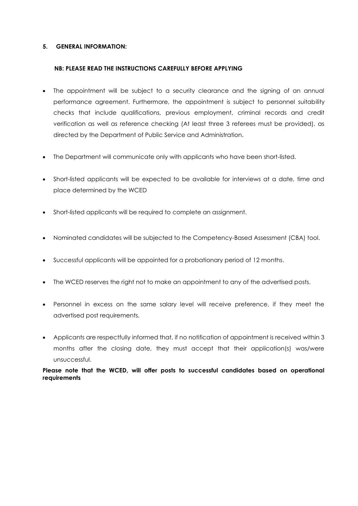#### **5. GENERAL INFORMATION:**

#### **NB: PLEASE READ THE INSTRUCTIONS CAREFULLY BEFORE APPLYING**

- The appointment will be subject to a security clearance and the signing of an annual performance agreement. Furthermore, the appointment is subject to personnel suitability checks that include qualifications, previous employment, criminal records and credit verification as well as reference checking (At least three 3 referees must be provided), as directed by the Department of Public Service and Administration.
- The Department will communicate only with applicants who have been short-listed.
- Short-listed applicants will be expected to be available for interviews at a date, time and place determined by the WCED
- Short-listed applicants will be required to complete an assignment.
- Nominated candidates will be subjected to the Competency-Based Assessment (CBA) tool.
- Successful applicants will be appointed for a probationary period of 12 months.
- The WCED reserves the right not to make an appointment to any of the advertised posts.
- Personnel in excess on the same salary level will receive preference, if they meet the advertised post requirements.
- Applicants are respectfully informed that, if no notification of appointment is received within 3 months after the closing date, they must accept that their application(s) was/were unsuccessful.

**Please note that the WCED, will offer posts to successful candidates based on operational requirements**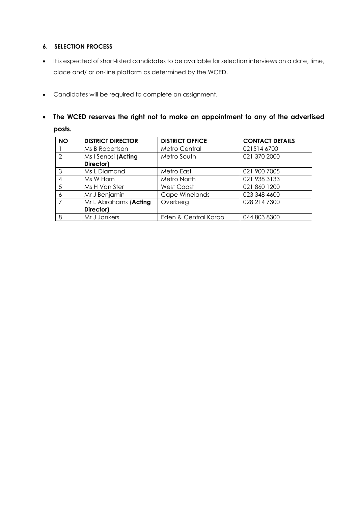#### **6. SELECTION PROCESS**

- It is expected of short-listed candidates to be available for selection interviews on a date, time, place and/ or on-line platform as determined by the WCED.
- Candidates will be required to complete an assignment.
- **The WCED reserves the right not to make an appointment to any of the advertised posts.**

| <b>NO</b>     | <b>DISTRICT DIRECTOR</b> | <b>DISTRICT OFFICE</b> | <b>CONTACT DETAILS</b> |
|---------------|--------------------------|------------------------|------------------------|
|               | Ms B Robertson           | Metro Central          | 021514 6700            |
| $\mathcal{L}$ | Ms I Senosi (Acting      | Metro South            | 021 370 2000           |
|               | Director)                |                        |                        |
| 3             | Ms L Diamond             | Metro East             | 021 900 7005           |
|               | Ms W Horn                | Metro North            | 021 938 3133           |
| .5            | Ms H Van Ster            | <b>West Coast</b>      | 021 860 1200           |
| 6             | Mr J Benjamin            | Cape Winelands         | 023 348 4600           |
|               | Mr L Abrahams (Acting    | Overberg               | 028 214 7300           |
|               | Director)                |                        |                        |
| 8             | Mr J Jonkers             | Eden & Central Karoo   | 044 803 8300           |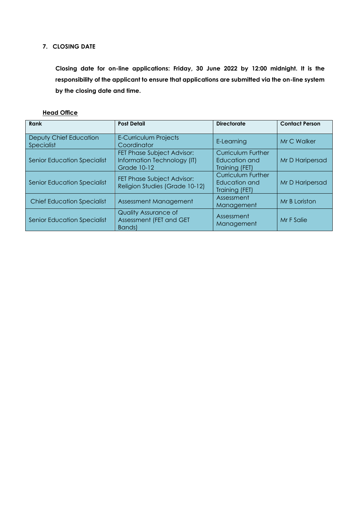#### **7. CLOSING DATE**

**Closing date for on-line applications: Friday, 30 June 2022 by 12:00 midnight. It is the responsibility of the applicant to ensure that applications are submitted via the on-line system by the closing date and time.** 

#### **Head Office**

| Rank                                 | <b>Post Detail</b>                                                              | <b>Directorate</b>                                           | <b>Contact Person</b> |
|--------------------------------------|---------------------------------------------------------------------------------|--------------------------------------------------------------|-----------------------|
| Deputy Chief Education<br>Specialist | <b>E-Curriculum Projects</b><br>Coordinator                                     | E-Learning                                                   | Mr C Walker           |
| <b>Senior Education Specialist</b>   | FET Phase Subject Advisor:<br>Information Technology (IT)<br><b>Grade 10-12</b> | <b>Curriculum Further</b><br>Education and<br>Training (FET) | Mr D Haripersad       |
| <b>Senior Education Specialist</b>   | FET Phase Subject Advisor:<br>Religion Studies (Grade 10-12)                    | <b>Curriculum Further</b><br>Education and<br>Training (FET) | Mr D Haripersad       |
| <b>Chief Education Specialist</b>    | Assessment Management                                                           | Assessment<br>Management                                     | Mr B Loriston         |
| <b>Senior Education Specialist</b>   | <b>Quality Assurance of</b><br>Assessment (FET and GET<br>Bands)                | Assessment<br>Management                                     | Mr F Salie            |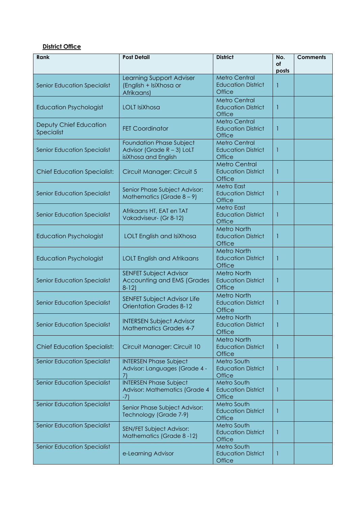#### **District Office**

| Rank                                        | <b>Post Detail</b>                                                                    | <b>District</b>                                                    | No.<br>of | <b>Comments</b> |
|---------------------------------------------|---------------------------------------------------------------------------------------|--------------------------------------------------------------------|-----------|-----------------|
|                                             |                                                                                       |                                                                    | posts     |                 |
| <b>Senior Education Specialist</b>          | Learning Support Adviser<br>(English + IsiXhosa or<br>Afrikaans)                      | <b>Metro Central</b><br><b>Education District</b><br><b>Office</b> |           |                 |
| <b>Education Psychologist</b>               | LOLT IsiXhosa                                                                         | <b>Metro Central</b><br><b>Education District</b><br>Office        |           |                 |
| Deputy Chief Education<br><b>Specialist</b> | <b>FET Coordinator</b>                                                                | <b>Metro Central</b><br><b>Education District</b><br><b>Office</b> |           |                 |
| <b>Senior Education Specialist</b>          | <b>Foundation Phase Subject</b><br>Advisor (Grade R - 3) LoLT<br>isiXhosa and English | <b>Metro Central</b><br><b>Education District</b><br>Office        |           |                 |
| <b>Chief Education Specialist:</b>          | Circuit Manager: Circuit 5                                                            | <b>Metro Central</b><br><b>Education District</b><br><b>Office</b> |           |                 |
| <b>Senior Education Specialist</b>          | Senior Phase Subject Advisor:<br>Mathematics (Grade $8 - 9$ )                         | <b>Metro East</b><br><b>Education District</b><br>Office           |           |                 |
| <b>Senior Education Specialist</b>          | Afrikaans HT, EAT en TAT<br>Vakadviseur- (Gr 8-12)                                    | <b>Metro East</b><br><b>Education District</b><br><b>Office</b>    |           |                 |
| <b>Education Psychologist</b>               | LOLT English and IsiXhosa                                                             | <b>Metro North</b><br><b>Education District</b><br><b>Office</b>   |           |                 |
| <b>Education Psychologist</b>               | <b>LOLT English and Afrikaans</b>                                                     | <b>Metro North</b><br><b>Education District</b><br><b>Office</b>   |           |                 |
| <b>Senior Education Specialist</b>          | <b>SENFET Subject Advisor</b><br>Accounting and EMS (Grades<br>$8-12$                 | <b>Metro North</b><br><b>Education District</b><br><b>Office</b>   |           |                 |
| <b>Senior Education Specialist</b>          | <b>SENFET Subject Advisor Life</b><br><b>Orientation Grades 8-12</b>                  | <b>Metro North</b><br><b>Education District</b><br><b>Office</b>   |           |                 |
| <b>Senior Education Specialist</b>          | <b>INTERSEN Subject Advisor</b><br><b>Mathematics Grades 4-7</b>                      | <b>Metro North</b><br><b>Education District</b><br><b>Office</b>   |           |                 |
| <b>Chief Education Specialist:</b>          | Circuit Manager: Circuit 10                                                           | Metro North<br><b>Education District</b><br><b>Office</b>          |           |                 |
| <b>Senior Education Specialist</b>          | <b>INTERSEN Phase Subject</b><br>Advisor: Languages (Grade 4 -                        | Metro South<br><b>Education District</b><br>Office                 | 1         |                 |
| <b>Senior Education Specialist</b>          | <b>INTERSEN Phase Subject</b><br>Advisor: Mathematics (Grade 4<br>$-7)$               | Metro South<br><b>Education District</b><br>Office                 |           |                 |
| <b>Senior Education Specialist</b>          | Senior Phase Subject Advisor:<br>Technology (Grade 7-9)                               | Metro South<br><b>Education District</b><br>Office                 | 1         |                 |
| <b>Senior Education Specialist</b>          | SEN/FET Subject Advisor:<br>Mathematics (Grade 8-12)                                  | Metro South<br><b>Education District</b><br>Office                 | -1        |                 |
| <b>Senior Education Specialist</b>          | e-Learning Advisor                                                                    | <b>Metro South</b><br><b>Education District</b><br>Office          | 1         |                 |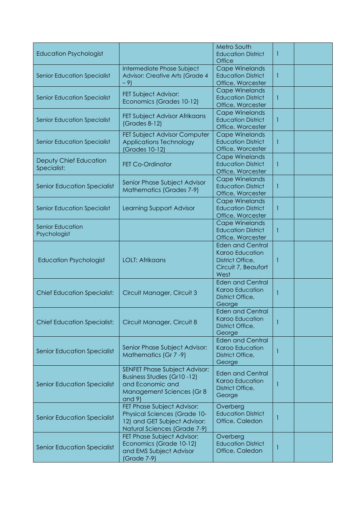| <b>Education Psychologist</b>           |                                                                                                                                   | Metro South<br><b>Education District</b><br>Office                                            | H. |  |
|-----------------------------------------|-----------------------------------------------------------------------------------------------------------------------------------|-----------------------------------------------------------------------------------------------|----|--|
| <b>Senior Education Specialist</b>      | Intermediate Phase Subject<br>Advisor: Creative Arts (Grade 4<br>$-9)$                                                            | <b>Cape Winelands</b><br><b>Education District</b><br>Office, Worcester                       | 1  |  |
| <b>Senior Education Specialist</b>      | FET Subject Advisor:<br>Economics (Grades 10-12)                                                                                  | <b>Cape Winelands</b><br><b>Education District</b><br>Office, Worcester                       | 1  |  |
| <b>Senior Education Specialist</b>      | FET Subject Advisor Afrikaans<br>(Grades 8-12)                                                                                    | <b>Cape Winelands</b><br><b>Education District</b><br>Office, Worcester                       | 1  |  |
| <b>Senior Education Specialist</b>      | FET Subject Advisor Computer<br><b>Applications Technology</b><br><b>Grades 10-12)</b>                                            | Cape Winelands<br><b>Education District</b><br>Office, Worcester                              | 1  |  |
| Deputy Chief Education<br>Specialist:   | <b>FET Co-Ordinator</b>                                                                                                           | <b>Cape Winelands</b><br><b>Education District</b><br>Office, Worcester                       | 1  |  |
| <b>Senior Education Specialist</b>      | Senior Phase Subject Advisor<br>Mathematics (Grades 7-9)                                                                          | <b>Cape Winelands</b><br><b>Education District</b><br>Office, Worcester                       | 1  |  |
| <b>Senior Education Specialist</b>      | Learning Support Advisor                                                                                                          | <b>Cape Winelands</b><br><b>Education District</b><br>Office, Worcester                       | 1  |  |
| <b>Senior Education</b><br>Psychologist |                                                                                                                                   | <b>Cape Winelands</b><br><b>Education District</b><br>Office, Worcester                       | 1  |  |
| <b>Education Psychologist</b>           | <b>LOLT: Afrikaans</b>                                                                                                            | <b>Eden and Central</b><br>Karoo Education<br>District Office,<br>Circuit 7, Beaufort<br>West | 1  |  |
| <b>Chief Education Specialist:</b>      | Circuit Manager, Circuit 3                                                                                                        | <b>Eden and Central</b><br>Karoo Education<br>District Office,<br>George                      |    |  |
| <b>Chief Education Specialist:</b>      | Circuit Manager, Circuit 8                                                                                                        | <b>Eden and Central</b><br>Karoo Education<br>District Office,<br>George                      |    |  |
| <b>Senior Education Specialist</b>      | Senior Phase Subject Advisor:<br>Mathematics (Gr 7 -9)                                                                            | <b>Eden and Central</b><br>Karoo Education<br>District Office,<br>George                      |    |  |
| <b>Senior Education Specialist</b>      | SENFET Phase Subject Advisor:<br>Business Studies (Gr10-12)<br>and Economic and<br>Management Sciences (Gr 8<br>and 9)            | <b>Eden and Central</b><br>Karoo Education<br>District Office,<br>George                      |    |  |
| <b>Senior Education Specialist</b>      | FET Phase Subject Advisor:<br><b>Physical Sciences (Grade 10-</b><br>12) and GET Subject Advisor:<br>Natural Sciences (Grade 7-9) | Overberg<br><b>Education District</b><br>Office, Caledon                                      |    |  |
| <b>Senior Education Specialist</b>      | FET Phase Subject Advisor:<br>Economics (Grade 10-12)<br>and EMS Subject Advisor<br>(Grade 7-9)                                   | Overberg<br><b>Education District</b><br>Office, Caledon                                      |    |  |